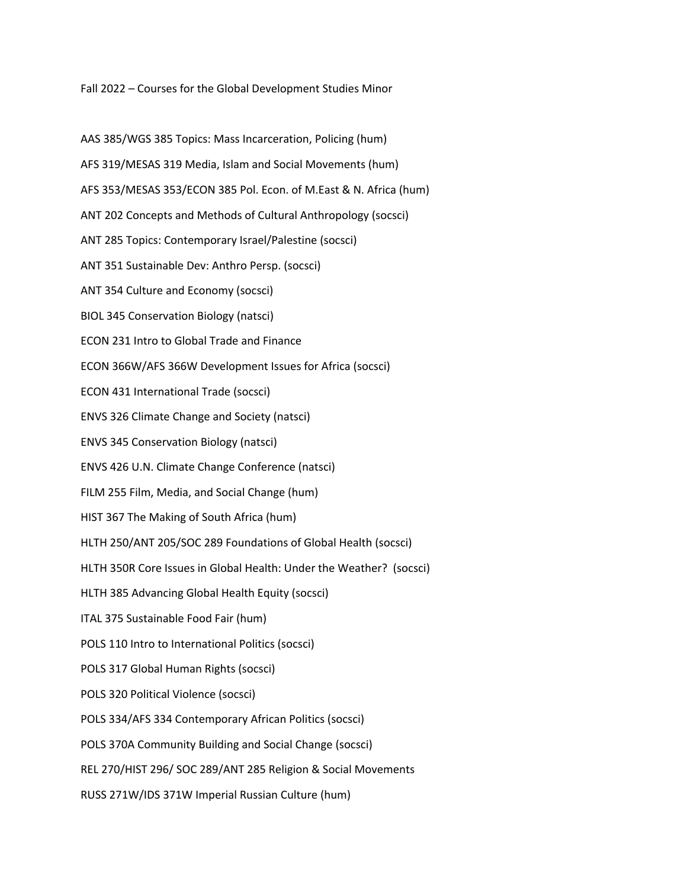Fall 2022 – Courses for the Global Development Studies Minor

AAS 385/WGS 385 Topics: Mass Incarceration, Policing (hum) AFS 319/MESAS 319 Media, Islam and Social Movements (hum) AFS 353/MESAS 353/ECON 385 Pol. Econ. of M.East & N. Africa (hum) ANT 202 Concepts and Methods of Cultural Anthropology (socsci) ANT 285 Topics: Contemporary Israel/Palestine (socsci) ANT 351 Sustainable Dev: Anthro Persp. (socsci) ANT 354 Culture and Economy (socsci) BIOL 345 Conservation Biology (natsci) ECON 231 Intro to Global Trade and Finance ECON 366W/AFS 366W Development Issues for Africa (socsci) ECON 431 International Trade (socsci) ENVS 326 Climate Change and Society (natsci) ENVS 345 Conservation Biology (natsci) ENVS 426 U.N. Climate Change Conference (natsci) FILM 255 Film, Media, and Social Change (hum) HIST 367 The Making of South Africa (hum) HLTH 250/ANT 205/SOC 289 Foundations of Global Health (socsci) HLTH 350R Core Issues in Global Health: Under the Weather? (socsci) HLTH 385 Advancing Global Health Equity (socsci) ITAL 375 Sustainable Food Fair (hum) POLS 110 Intro to International Politics (socsci) POLS 317 Global Human Rights (socsci) POLS 320 Political Violence (socsci) POLS 334/AFS 334 Contemporary African Politics (socsci) POLS 370A Community Building and Social Change (socsci) REL 270/HIST 296/ SOC 289/ANT 285 Religion & Social Movements RUSS 271W/IDS 371W Imperial Russian Culture (hum)